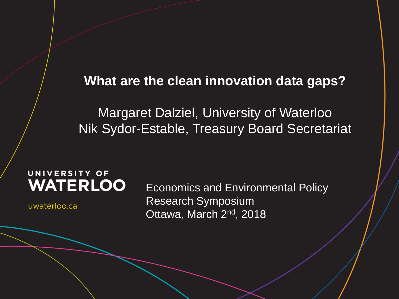#### **What are the clean innovation data gaps?**

Margaret Dalziel, University of Waterloo Nik Sydor-Estable, Treasury Board Secretariat

#### UNIVERSITY OF **WATERLOO**

uwaterloo.ca

Economics and Environmental Policy Research Symposium Ottawa, March 2<sup>nd</sup>, 2018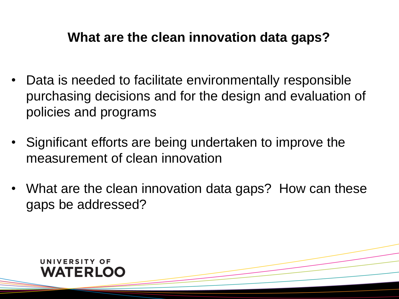#### **What are the clean innovation data gaps?**

- Data is needed to facilitate environmentally responsible purchasing decisions and for the design and evaluation of policies and programs
- Significant efforts are being undertaken to improve the measurement of clean innovation
- What are the clean innovation data gaps? How can these gaps be addressed?

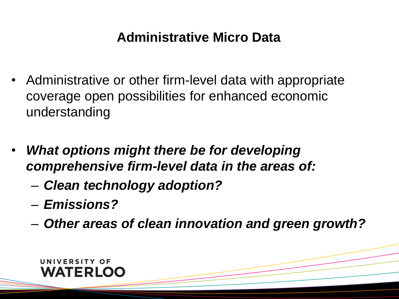### **Administrative Micro Data**

- Administrative or other firm-level data with appropriate coverage open possibilities for enhanced economic understanding
- *What options might there be for developing comprehensive firm-level data in the areas of:*
	- *Clean technology adoption?*
	- *Emissions?*
	- *Other areas of clean innovation and green growth?*

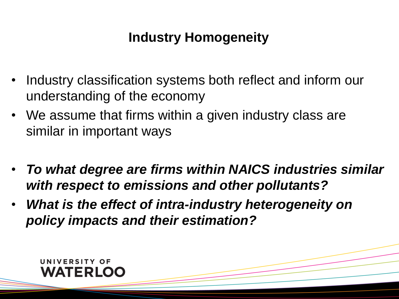# **Industry Homogeneity**

- Industry classification systems both reflect and inform our understanding of the economy
- We assume that firms within a given industry class are similar in important ways
- *To what degree are firms within NAICS industries similar with respect to emissions and other pollutants?*
- *What is the effect of intra-industry heterogeneity on policy impacts and their estimation?*